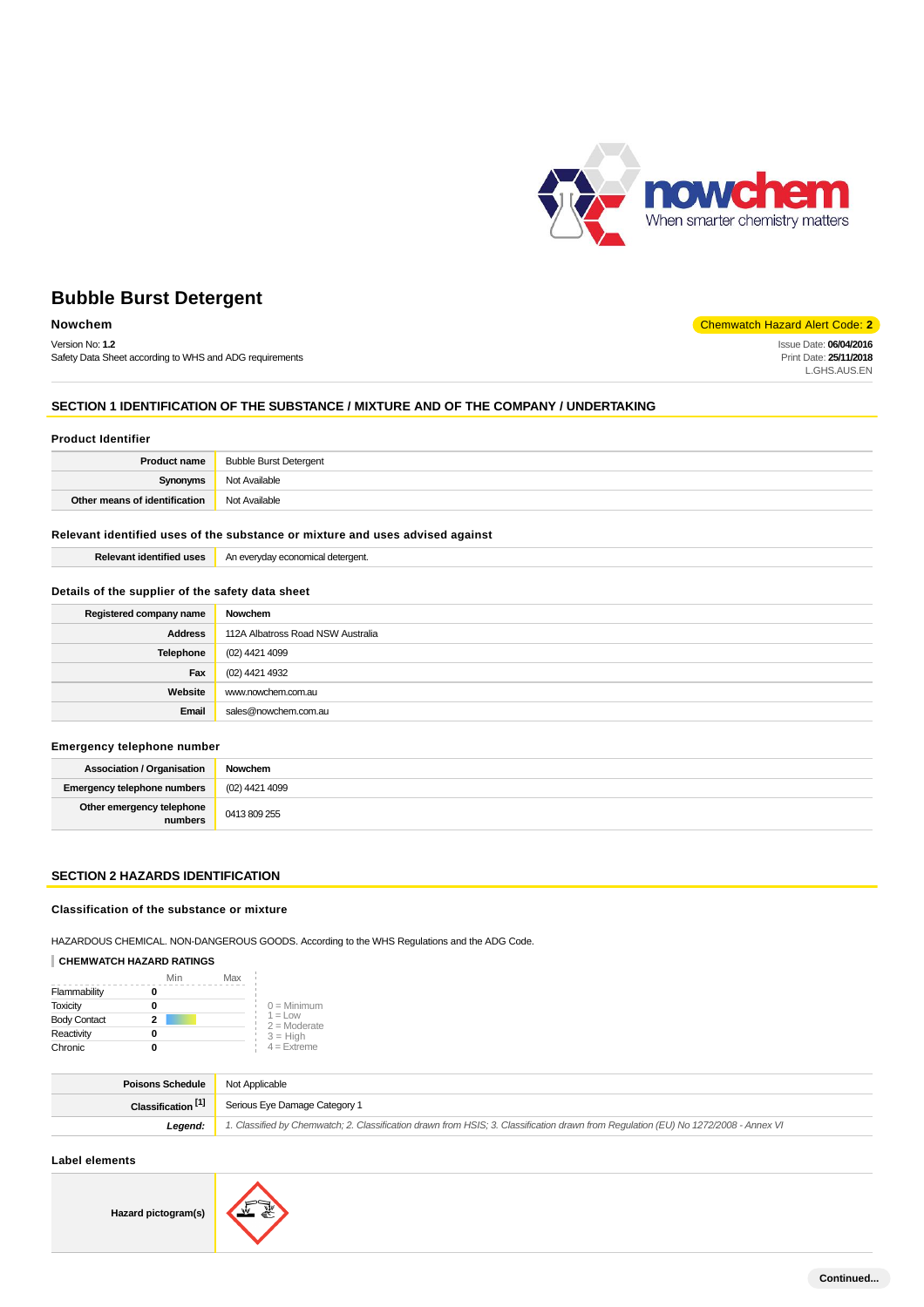

Issue Date: **06/04/2016** Print Date: **25/11/2018** L.GHS.AUS.EN

# **Bubble Burst Detergent**

# **Nowchem** Chemwatch Hazard Alert Code: 2

Version No: **1.2** Safety Data Sheet according to WHS and ADG requirements

# **SECTION 1 IDENTIFICATION OF THE SUBSTANCE / MIXTURE AND OF THE COMPANY / UNDERTAKING**

#### **Product Identifier**

|                               | <b>Product name</b> Bubble Burst Detergent |
|-------------------------------|--------------------------------------------|
| Synonyms                      | Not Available                              |
| Other means of identification | Not Available                              |

# **Relevant identified uses of the substance or mixture and uses advised against**

| −… |
|----|
|    |

### **Details of the supplier of the safety data sheet**

| Registered company name | Nowchem                           |
|-------------------------|-----------------------------------|
| <b>Address</b>          | 112A Albatross Road NSW Australia |
| <b>Telephone</b>        | (02) 4421 4099                    |
| Fax                     | (02) 4421 4932                    |
| Website                 | www.nowchem.com.au                |
| Email                   | sales@nowchem.com.au              |

### **Emergency telephone number**

| <b>Association / Organisation</b>    | Nowchem        |
|--------------------------------------|----------------|
| Emergency telephone numbers          | (02) 4421 4099 |
| Other emergency telephone<br>numbers | 0413 809 255   |

### **SECTION 2 HAZARDS IDENTIFICATION**

### **Classification of the substance or mixture**

HAZARDOUS CHEMICAL. NON-DANGEROUS GOODS. According to the WHS Regulations and the ADG Code.

# **CHEMWATCH HAZARD RATINGS**

|                     | Min | Max |                              |
|---------------------|-----|-----|------------------------------|
| Flammability        |     |     |                              |
| <b>Toxicity</b>     |     |     | $0 =$ Minimum                |
| <b>Body Contact</b> | 2   |     | $1 = 1$ OW<br>$2 =$ Moderate |
| Reactivity          |     |     | $3 = High$                   |
| Chronic             |     |     | $4 =$ Extreme                |

| <b>Poisons Schedule</b> Not Applicable |                                                                                                                                     |
|----------------------------------------|-------------------------------------------------------------------------------------------------------------------------------------|
|                                        | Classification <sup>[1]</sup> Serious Eye Damage Category 1                                                                         |
| Leaend:                                | 1. Classified by Chemwatch; 2. Classification drawn from HSIS; 3. Classification drawn from Requlation (EU) No 1272/2008 - Annex VI |

# **Label elements**

**Hazard pictogram(s)**

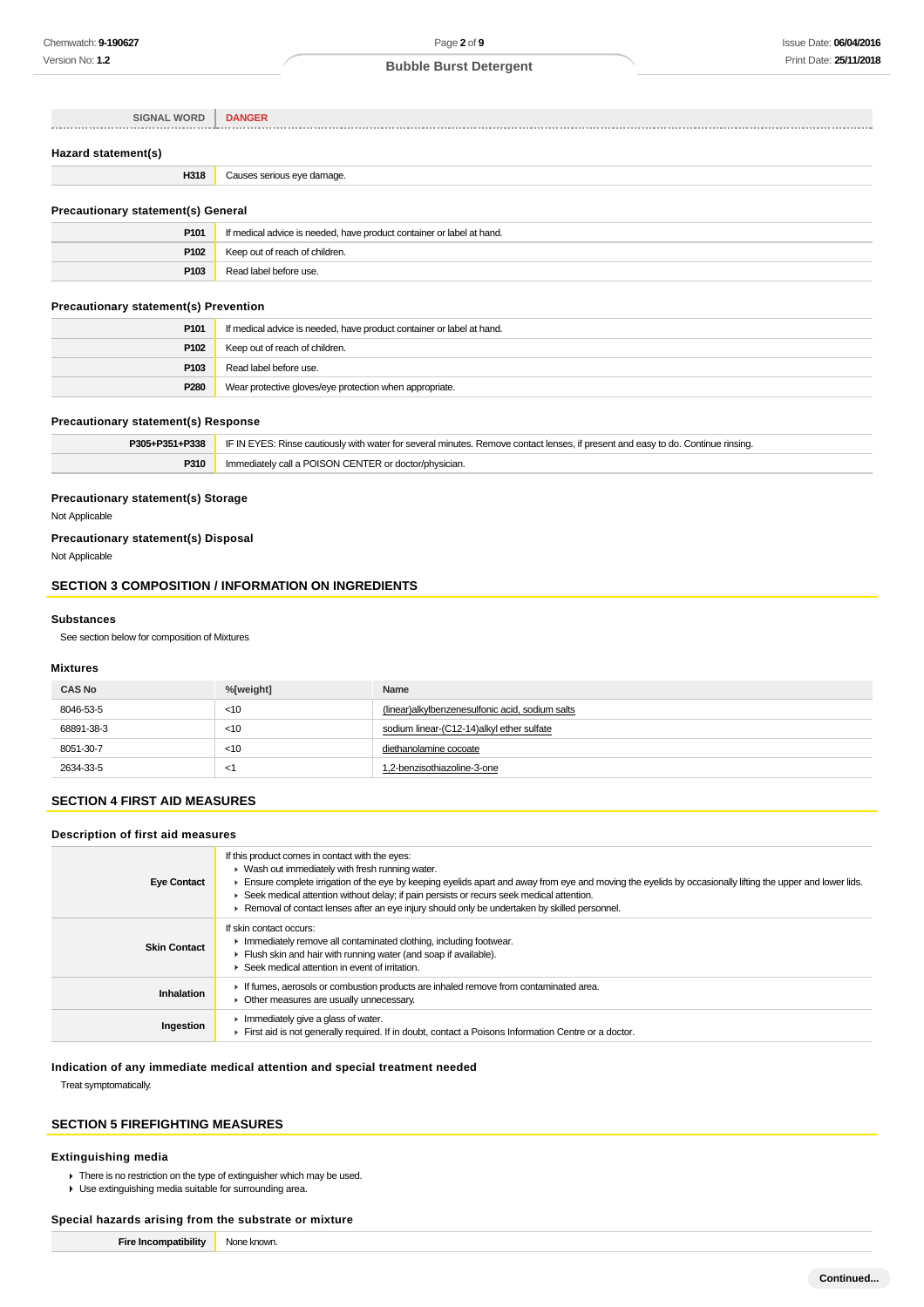| <b>SIGNAL WORD</b>  | <b>DANGER</b>              |
|---------------------|----------------------------|
| Hazard statement(s) |                            |
| H318                | Causes serious eye damage. |

### **Precautionary statement(s) General**

| P <sub>101</sub> | If medical advice is needed, have product container or label at hand. |  |
|------------------|-----------------------------------------------------------------------|--|
| P <sub>102</sub> | Keep out of reach of children.                                        |  |
| P103             | Read label before use.                                                |  |

# **Precautionary statement(s) Prevention**

| P <sub>101</sub> | If medical advice is needed, have product container or label at hand. |
|------------------|-----------------------------------------------------------------------|
| P <sub>102</sub> | Keep out of reach of children.                                        |
| P <sub>103</sub> | Read label before use.                                                |
| P280             | Wear protective gloves/eye protection when appropriate.               |

#### **Precautionary statement(s) Response**

| P305+P351+P338 | IF IN EYES: Rinse cautiously with water for several minutes. Remove contact lenses, if present and easy to do. Continue rinsing. |
|----------------|----------------------------------------------------------------------------------------------------------------------------------|
| P310           | Immediately call a POISON CENTER or doctor/physician.                                                                            |

# **Precautionary statement(s) Storage**

Not Applicable

# **Precautionary statement(s) Disposal**

Not Applicable

# **SECTION 3 COMPOSITION / INFORMATION ON INGREDIENTS**

### **Substances**

See section below for composition of Mixtures

### **Mixtures**

| <b>CAS No</b> | %[weight] | Name                                            |
|---------------|-----------|-------------------------------------------------|
| 8046-53-5     | < 10      | (linear)alkylbenzenesulfonic acid, sodium salts |
| 68891-38-3    | $<$ 10    | sodium linear-(C12-14)alkyl ether sulfate       |
| 8051-30-7     | $<$ 10    | diethanolamine cocoate                          |
| 2634-33-5     | <1        | 1,2-benzisothiazoline-3-one                     |

# **SECTION 4 FIRST AID MEASURES**

### **Description of first aid measures**

| <b>Eye Contact</b>  | If this product comes in contact with the eyes:<br>$\blacktriangleright$ Wash out immediately with fresh running water.<br>Ensure complete irrigation of the eye by keeping eyelids apart and away from eye and moving the eyelids by occasionally lifting the upper and lower lids.<br>► Seek medical attention without delay; if pain persists or recurs seek medical attention.<br>▶ Removal of contact lenses after an eye injury should only be undertaken by skilled personnel. |
|---------------------|---------------------------------------------------------------------------------------------------------------------------------------------------------------------------------------------------------------------------------------------------------------------------------------------------------------------------------------------------------------------------------------------------------------------------------------------------------------------------------------|
| <b>Skin Contact</b> | If skin contact occurs:<br>In mediately remove all contaminated clothing, including footwear.<br>Flush skin and hair with running water (and soap if available).<br>▶ Seek medical attention in event of irritation.                                                                                                                                                                                                                                                                  |
| Inhalation          | If fumes, aerosols or combustion products are inhaled remove from contaminated area.<br>• Other measures are usually unnecessary.                                                                                                                                                                                                                                                                                                                                                     |
| Ingestion           | Inmediately give a glass of water.<br>First aid is not generally required. If in doubt, contact a Poisons Information Centre or a doctor.                                                                                                                                                                                                                                                                                                                                             |

#### **Indication of any immediate medical attention and special treatment needed**

Treat symptomatically.

### **SECTION 5 FIREFIGHTING MEASURES**

#### **Extinguishing media**

▶ There is no restriction on the type of extinguisher which may be used.

Use extinguishing media suitable for surrounding area.

### **Special hazards arising from the substrate or mixture**

**Fire Incompatibility** None known.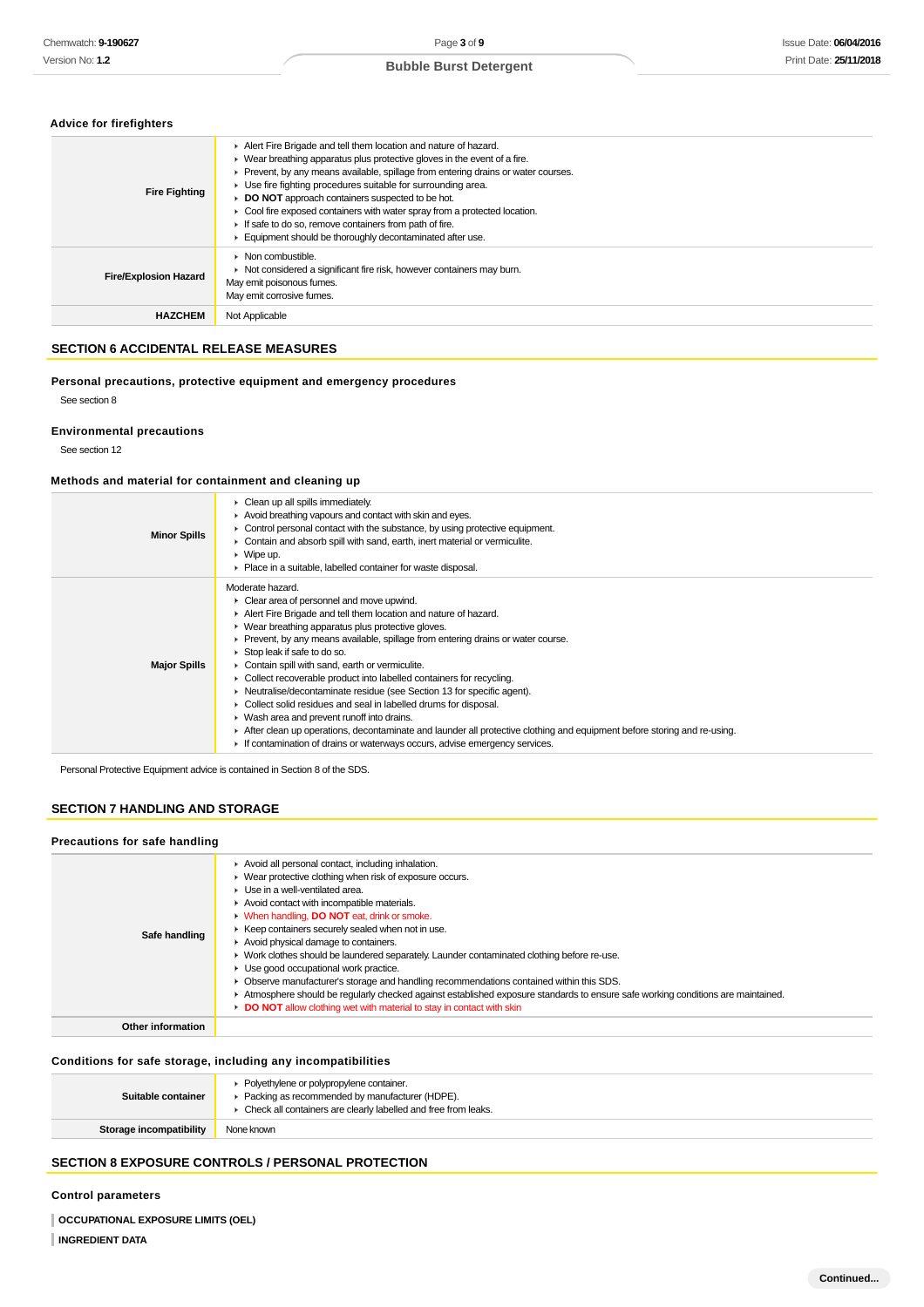|  |  | <b>Advice for firefighters</b> |  |
|--|--|--------------------------------|--|
|--|--|--------------------------------|--|

| <b>Fire Fighting</b>         | Alert Fire Brigade and tell them location and nature of hazard.<br>• Wear breathing apparatus plus protective gloves in the event of a fire.<br>► Prevent, by any means available, spillage from entering drains or water courses.<br>► Use fire fighting procedures suitable for surrounding area.<br>DO NOT approach containers suspected to be hot.<br>• Cool fire exposed containers with water spray from a protected location.<br>If safe to do so, remove containers from path of fire.<br>Equipment should be thoroughly decontaminated after use. |
|------------------------------|------------------------------------------------------------------------------------------------------------------------------------------------------------------------------------------------------------------------------------------------------------------------------------------------------------------------------------------------------------------------------------------------------------------------------------------------------------------------------------------------------------------------------------------------------------|
| <b>Fire/Explosion Hazard</b> | $\blacktriangleright$ Non combustible.<br>▶ Not considered a significant fire risk, however containers may burn.<br>May emit poisonous fumes.<br>May emit corrosive fumes.                                                                                                                                                                                                                                                                                                                                                                                 |
| <b>HAZCHEM</b>               | Not Applicable                                                                                                                                                                                                                                                                                                                                                                                                                                                                                                                                             |

# **SECTION 6 ACCIDENTAL RELEASE MEASURES**

**Personal precautions, protective equipment and emergency procedures** See section 8

### **Environmental precautions**

See section 12

# **Methods and material for containment and cleaning up**

| <b>Minor Spills</b> | $\blacktriangleright$ Clean up all spills immediately.<br>Avoid breathing vapours and contact with skin and eyes.<br>$\triangleright$ Control personal contact with the substance, by using protective equipment.<br>Contain and absorb spill with sand, earth, inert material or vermiculite.<br>$\triangleright$ Wipe up.<br>• Place in a suitable, labelled container for waste disposal.                                                                                                                                                                                                                                                                                                                                                                                                                                                                         |
|---------------------|----------------------------------------------------------------------------------------------------------------------------------------------------------------------------------------------------------------------------------------------------------------------------------------------------------------------------------------------------------------------------------------------------------------------------------------------------------------------------------------------------------------------------------------------------------------------------------------------------------------------------------------------------------------------------------------------------------------------------------------------------------------------------------------------------------------------------------------------------------------------|
| <b>Major Spills</b> | Moderate hazard.<br>• Clear area of personnel and move upwind.<br>Alert Fire Brigade and tell them location and nature of hazard.<br>▶ Wear breathing apparatus plus protective gloves.<br>$\blacktriangleright$ Prevent, by any means available, spillage from entering drains or water course.<br>Stop leak if safe to do so.<br>Contain spill with sand, earth or vermiculite.<br>• Collect recoverable product into labelled containers for recycling.<br>• Neutralise/decontaminate residue (see Section 13 for specific agent).<br>▶ Collect solid residues and seal in labelled drums for disposal.<br>• Wash area and prevent runoff into drains.<br>► After clean up operations, decontaminate and launder all protective clothing and equipment before storing and re-using.<br>If contamination of drains or waterways occurs, advise emergency services. |

Personal Protective Equipment advice is contained in Section 8 of the SDS.

# **SECTION 7 HANDLING AND STORAGE**

| Precautions for safe handling |                                                                                                                                                                                                                                                                                                                                                                                                                                                                                                                                                                                                                                                                                                                                                                                                                                      |
|-------------------------------|--------------------------------------------------------------------------------------------------------------------------------------------------------------------------------------------------------------------------------------------------------------------------------------------------------------------------------------------------------------------------------------------------------------------------------------------------------------------------------------------------------------------------------------------------------------------------------------------------------------------------------------------------------------------------------------------------------------------------------------------------------------------------------------------------------------------------------------|
| Safe handling                 | Avoid all personal contact, including inhalation.<br>• Wear protective clothing when risk of exposure occurs.<br>$\blacktriangleright$ Use in a well-ventilated area.<br>Avoid contact with incompatible materials.<br><b>No. 2015</b> When handling, <b>DO NOT</b> eat, drink or smoke.<br>Keep containers securely sealed when not in use.<br>Avoid physical damage to containers.<br>• Work clothes should be laundered separately. Launder contaminated clothing before re-use.<br>• Use good occupational work practice.<br>• Observe manufacturer's storage and handling recommendations contained within this SDS.<br>Atmosphere should be regularly checked against established exposure standards to ensure safe working conditions are maintained.<br>DO NOT allow clothing wet with material to stay in contact with skin |
| Other information             |                                                                                                                                                                                                                                                                                                                                                                                                                                                                                                                                                                                                                                                                                                                                                                                                                                      |

# **Conditions for safe storage, including any incompatibilities**

| Storage incompatibility | • Check all containers are clearly labelled and free from leaks.<br>None known               |
|-------------------------|----------------------------------------------------------------------------------------------|
| Suitable container      | • Polyethylene or polypropylene container.<br>Packing as recommended by manufacturer (HDPE). |

# **SECTION 8 EXPOSURE CONTROLS / PERSONAL PROTECTION**

# **Control parameters**

**OCCUPATIONAL EXPOSURE LIMITS (OEL) INGREDIENT DATA**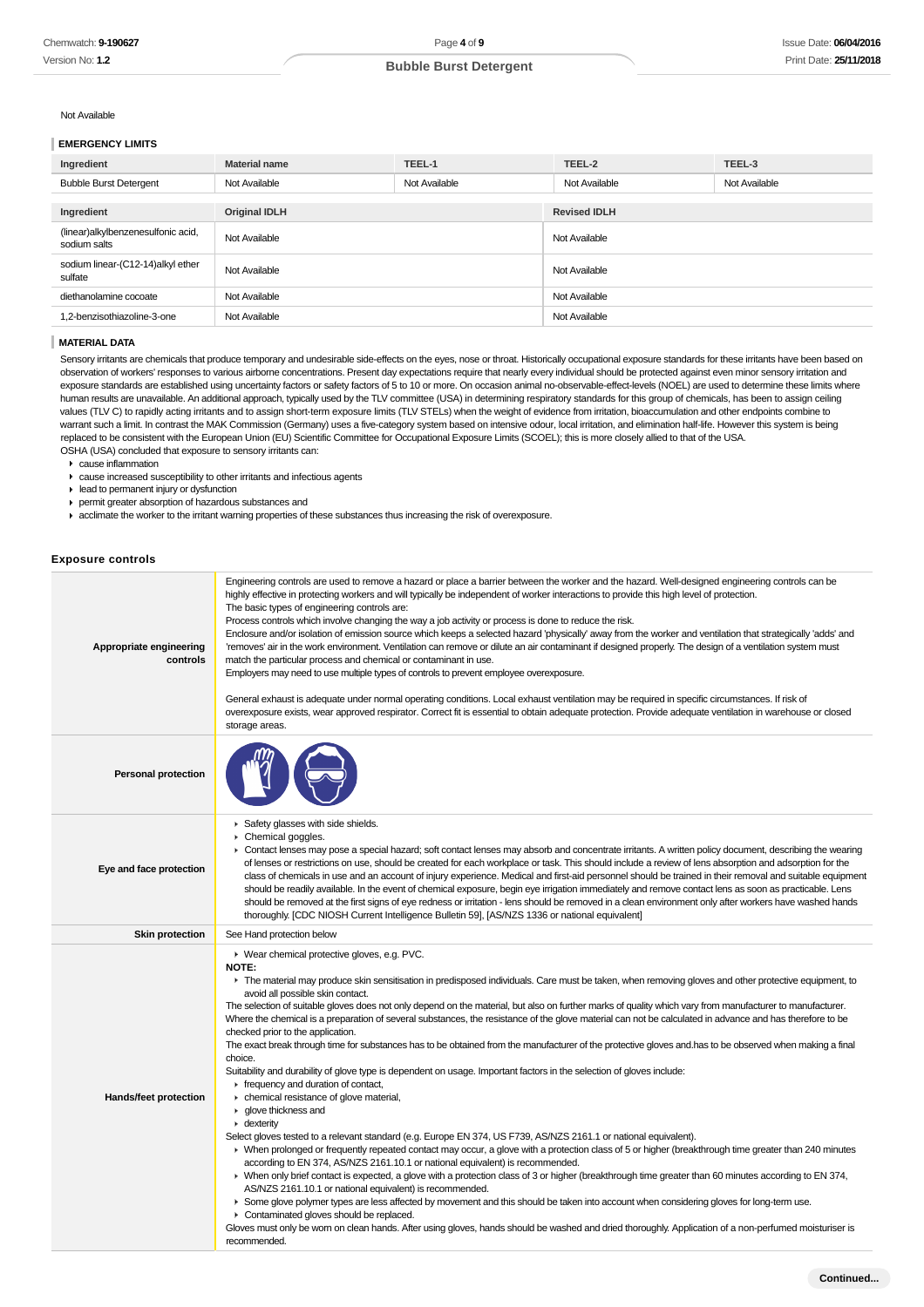#### Not Available

### **EMERGENCY LIMITS**

| Ingredient                                         | <b>Material name</b> | TEEL-1        | TEEL-2              | TEEL-3        |
|----------------------------------------------------|----------------------|---------------|---------------------|---------------|
| <b>Bubble Burst Detergent</b>                      | Not Available        | Not Available | Not Available       | Not Available |
|                                                    |                      |               |                     |               |
| Ingredient                                         | <b>Original IDLH</b> |               | <b>Revised IDLH</b> |               |
| (linear)alkylbenzenesulfonic acid,<br>sodium salts | Not Available        |               | Not Available       |               |
| sodium linear-(C12-14)alkyl ether<br>sulfate       | Not Available        |               | Not Available       |               |
| diethanolamine cocoate                             | Not Available        |               | Not Available       |               |
| 1,2-benzisothiazoline-3-one                        | Not Available        |               | Not Available       |               |
|                                                    |                      |               |                     |               |

### **MATERIAL DATA**

Sensory irritants are chemicals that produce temporary and undesirable side-effects on the eyes, nose or throat. Historically occupational exposure standards for these irritants have been based on observation of workers' responses to various airborne concentrations. Present day expectations require that nearly every individual should be protected against even minor sensory irritation and exposure standards are established using uncertainty factors or safety factors of 5 to 10 or more. On occasion animal no-observable-effect-levels (NOEL) are used to determine these limits where human results are unavailable. An additional approach, typically used by the TLV committee (USA) in determining respiratory standards for this group of chemicals, has been to assign ceiling values (TLV C) to rapidly acting irritants and to assign short-term exposure limits (TLV STELs) when the weight of evidence from irritation, bioaccumulation and other endpoints combine to warrant such a limit. In contrast the MAK Commission (Germany) uses a five-category system based on intensive odour, local irritation, and elimination half-life. However this system is being replaced to be consistent with the European Union (EU) Scientific Committee for Occupational Exposure Limits (SCOEL); this is more closely allied to that of the USA. OSHA (USA) concluded that exposure to sensory irritants can:

- cause inflammation
- cause increased susceptibility to other irritants and infectious agents
- lead to permanent injury or dysfunction
- permit greater absorption of hazardous substances and
- acclimate the worker to the irritant warning properties of these substances thus increasing the risk of overexposure.

#### **Exposure controls**

| Appropriate engineering<br>controls | Engineering controls are used to remove a hazard or place a barrier between the worker and the hazard. Well-designed engineering controls can be<br>highly effective in protecting workers and will typically be independent of worker interactions to provide this high level of protection.<br>The basic types of engineering controls are:<br>Process controls which involve changing the way a job activity or process is done to reduce the risk.<br>Enclosure and/or isolation of emission source which keeps a selected hazard 'physically' away from the worker and ventilation that strategically 'adds' and<br>'removes' air in the work environment. Ventilation can remove or dilute an air contaminant if designed properly. The design of a ventilation system must<br>match the particular process and chemical or contaminant in use.<br>Employers may need to use multiple types of controls to prevent employee overexposure.<br>General exhaust is adequate under normal operating conditions. Local exhaust ventilation may be required in specific circumstances. If risk of<br>overexposure exists, wear approved respirator. Correct fit is essential to obtain adequate protection. Provide adequate ventilation in warehouse or closed<br>storage areas.                                                                                                                                                                                                                                                                                                                                                                                                                                                                                                                                                                                                                                                                                                                                                |
|-------------------------------------|----------------------------------------------------------------------------------------------------------------------------------------------------------------------------------------------------------------------------------------------------------------------------------------------------------------------------------------------------------------------------------------------------------------------------------------------------------------------------------------------------------------------------------------------------------------------------------------------------------------------------------------------------------------------------------------------------------------------------------------------------------------------------------------------------------------------------------------------------------------------------------------------------------------------------------------------------------------------------------------------------------------------------------------------------------------------------------------------------------------------------------------------------------------------------------------------------------------------------------------------------------------------------------------------------------------------------------------------------------------------------------------------------------------------------------------------------------------------------------------------------------------------------------------------------------------------------------------------------------------------------------------------------------------------------------------------------------------------------------------------------------------------------------------------------------------------------------------------------------------------------------------------------------------------------------------------------------------------------------------------------------------------------------|
| <b>Personal protection</b>          |                                                                                                                                                                                                                                                                                                                                                                                                                                                                                                                                                                                                                                                                                                                                                                                                                                                                                                                                                                                                                                                                                                                                                                                                                                                                                                                                                                                                                                                                                                                                                                                                                                                                                                                                                                                                                                                                                                                                                                                                                                  |
| Eye and face protection             | Safety glasses with side shields.<br>▶ Chemical goggles.<br>• Contact lenses may pose a special hazard; soft contact lenses may absorb and concentrate irritants. A written policy document, describing the wearing<br>of lenses or restrictions on use, should be created for each workplace or task. This should include a review of lens absorption and adsorption for the<br>class of chemicals in use and an account of injury experience. Medical and first-aid personnel should be trained in their removal and suitable equipment<br>should be readily available. In the event of chemical exposure, begin eye irrigation immediately and remove contact lens as soon as practicable. Lens<br>should be removed at the first signs of eye redness or irritation - lens should be removed in a clean environment only after workers have washed hands<br>thoroughly. [CDC NIOSH Current Intelligence Bulletin 59], [AS/NZS 1336 or national equivalent]                                                                                                                                                                                                                                                                                                                                                                                                                                                                                                                                                                                                                                                                                                                                                                                                                                                                                                                                                                                                                                                                   |
| <b>Skin protection</b>              | See Hand protection below                                                                                                                                                                                                                                                                                                                                                                                                                                                                                                                                                                                                                                                                                                                                                                                                                                                                                                                                                                                                                                                                                                                                                                                                                                                                                                                                                                                                                                                                                                                                                                                                                                                                                                                                                                                                                                                                                                                                                                                                        |
| Hands/feet protection               | ▶ Wear chemical protective gloves, e.g. PVC.<br><b>NOTE:</b><br>The material may produce skin sensitisation in predisposed individuals. Care must be taken, when removing gloves and other protective equipment, to<br>avoid all possible skin contact.<br>The selection of suitable gloves does not only depend on the material, but also on further marks of quality which vary from manufacturer to manufacturer.<br>Where the chemical is a preparation of several substances, the resistance of the glove material can not be calculated in advance and has therefore to be<br>checked prior to the application.<br>The exact break through time for substances has to be obtained from the manufacturer of the protective gloves and has to be observed when making a final<br>choice.<br>Suitability and durability of glove type is dependent on usage. Important factors in the selection of gloves include:<br>$\blacktriangleright$ frequency and duration of contact,<br>• chemical resistance of glove material,<br>▶ glove thickness and<br>$\cdot$ dexterity<br>Select gloves tested to a relevant standard (e.g. Europe EN 374, US F739, AS/NZS 2161.1 or national equivalent).<br>> When prolonged or frequently repeated contact may occur, a glove with a protection class of 5 or higher (breakthrough time greater than 240 minutes<br>according to EN 374, AS/NZS 2161.10.1 or national equivalent) is recommended.<br>> When only brief contact is expected, a glove with a protection class of 3 or higher (breakthrough time greater than 60 minutes according to EN 374,<br>AS/NZS 2161.10.1 or national equivalent) is recommended.<br>• Some glove polymer types are less affected by movement and this should be taken into account when considering gloves for long-term use.<br>Contaminated gloves should be replaced.<br>Gloves must only be worn on clean hands. After using gloves, hands should be washed and dried thoroughly. Application of a non-perfumed moisturiser is<br>recommended. |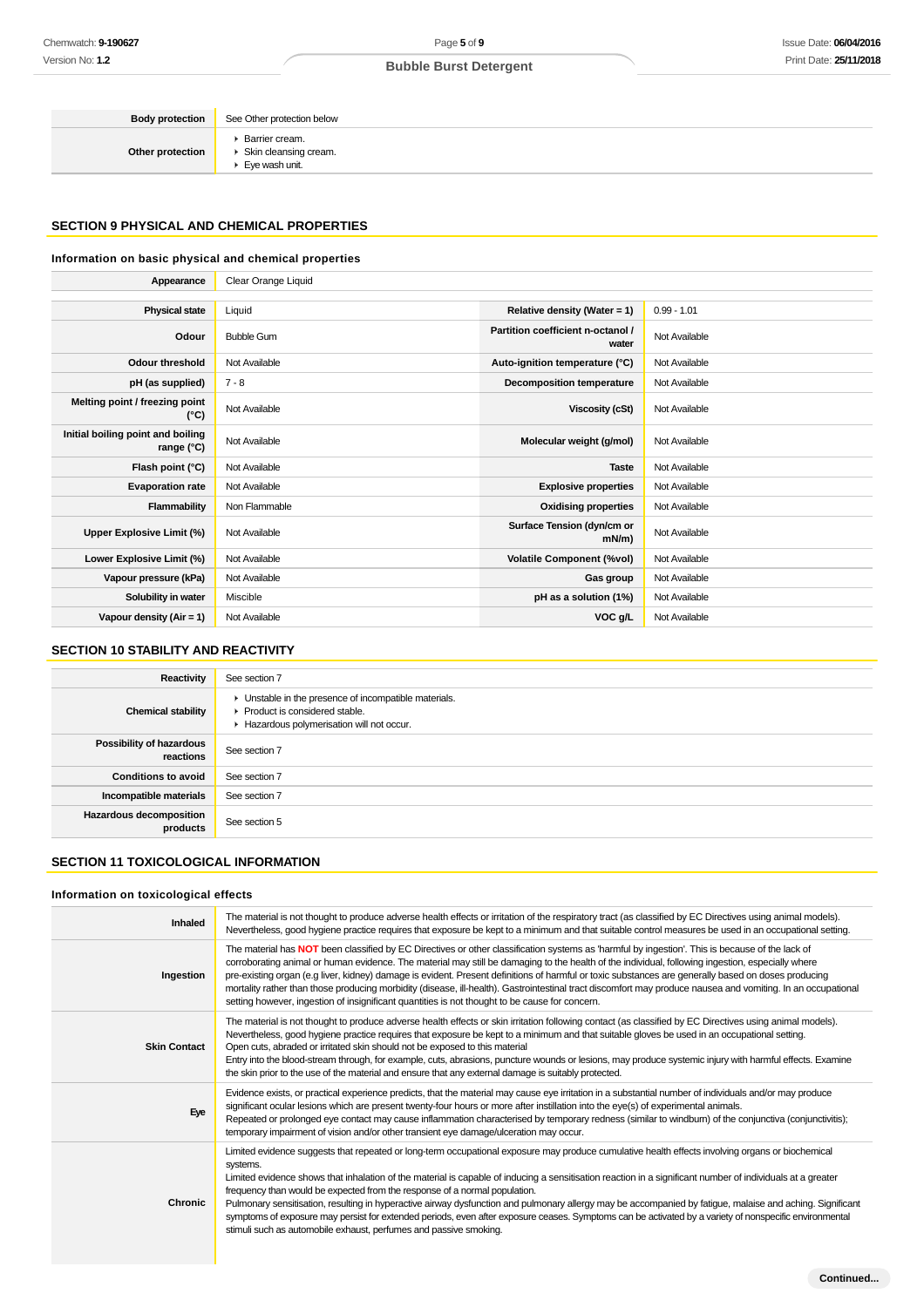**Body protection** See Other protection below **Other protection** Barrier cream. ▶ Skin cleansing cream. ▶ Eye wash unit.

# **SECTION 9 PHYSICAL AND CHEMICAL PROPERTIES**

# **Information on basic physical and chemical properties**

| Appearance                                        | Clear Orange Liquid |                                            |               |
|---------------------------------------------------|---------------------|--------------------------------------------|---------------|
|                                                   |                     |                                            |               |
| <b>Physical state</b>                             | Liquid              | Relative density (Water = $1$ )            | $0.99 - 1.01$ |
| Odour                                             | <b>Bubble Gum</b>   | Partition coefficient n-octanol /<br>water | Not Available |
| <b>Odour threshold</b>                            | Not Available       | Auto-ignition temperature (°C)             | Not Available |
| pH (as supplied)                                  | $7 - 8$             | <b>Decomposition temperature</b>           | Not Available |
| Melting point / freezing point<br>(°C)            | Not Available       | Viscosity (cSt)                            | Not Available |
| Initial boiling point and boiling<br>range $(°C)$ | Not Available       | Molecular weight (g/mol)                   | Not Available |
| Flash point (°C)                                  | Not Available       | <b>Taste</b>                               | Not Available |
| <b>Evaporation rate</b>                           | Not Available       | <b>Explosive properties</b>                | Not Available |
| Flammability                                      | Non Flammable       | <b>Oxidising properties</b>                | Not Available |
| Upper Explosive Limit (%)                         | Not Available       | Surface Tension (dyn/cm or<br>$mN/m$ )     | Not Available |
| Lower Explosive Limit (%)                         | Not Available       | <b>Volatile Component (%vol)</b>           | Not Available |
| Vapour pressure (kPa)                             | Not Available       | Gas group                                  | Not Available |
| Solubility in water                               | Miscible            | pH as a solution (1%)                      | Not Available |
| Vapour density (Air = 1)                          | Not Available       | VOC g/L                                    | Not Available |

# **SECTION 10 STABILITY AND REACTIVITY**

| Reactivity                                 | See section 7                                                                                                                        |
|--------------------------------------------|--------------------------------------------------------------------------------------------------------------------------------------|
| <b>Chemical stability</b>                  | • Unstable in the presence of incompatible materials.<br>▶ Product is considered stable.<br>Hazardous polymerisation will not occur. |
| Possibility of hazardous<br>reactions      | See section 7                                                                                                                        |
| <b>Conditions to avoid</b>                 | See section 7                                                                                                                        |
| Incompatible materials                     | See section 7                                                                                                                        |
| <b>Hazardous decomposition</b><br>products | See section 5                                                                                                                        |

# **SECTION 11 TOXICOLOGICAL INFORMATION**

### **Information on toxicological effects**

| Inhaled             | The material is not thought to produce adverse health effects or irritation of the respiratory tract (as classified by EC Directives using animal models).<br>Nevertheless, good hygiene practice requires that exposure be kept to a minimum and that suitable control measures be used in an occupational setting.                                                                                                                                                                                                                                                                                                                                                                                                                                                                                 |
|---------------------|------------------------------------------------------------------------------------------------------------------------------------------------------------------------------------------------------------------------------------------------------------------------------------------------------------------------------------------------------------------------------------------------------------------------------------------------------------------------------------------------------------------------------------------------------------------------------------------------------------------------------------------------------------------------------------------------------------------------------------------------------------------------------------------------------|
| Ingestion           | The material has NOT been classified by EC Directives or other classification systems as 'harmful by ingestion'. This is because of the lack of<br>corroborating animal or human evidence. The material may still be damaging to the health of the individual, following ingestion, especially where<br>pre-existing organ (e.g liver, kidney) damage is evident. Present definitions of harmful or toxic substances are generally based on doses producing<br>mortality rather than those producing morbidity (disease, ill-health). Gastrointestinal tract discomfort may produce nausea and vomiting. In an occupational<br>setting however, ingestion of insignificant quantities is not thought to be cause for concern.                                                                        |
| <b>Skin Contact</b> | The material is not thought to produce adverse health effects or skin irritation following contact (as classified by EC Directives using animal models).<br>Nevertheless, good hygiene practice requires that exposure be kept to a minimum and that suitable gloves be used in an occupational setting.<br>Open cuts, abraded or irritated skin should not be exposed to this material<br>Entry into the blood-stream through, for example, cuts, abrasions, puncture wounds or lesions, may produce systemic injury with harmful effects. Examine<br>the skin prior to the use of the material and ensure that any external damage is suitably protected.                                                                                                                                          |
| Eye                 | Evidence exists, or practical experience predicts, that the material may cause eye irritation in a substantial number of individuals and/or may produce<br>significant ocular lesions which are present twenty-four hours or more after instillation into the eye(s) of experimental animals.<br>Repeated or prolonged eye contact may cause inflammation characterised by temporary redness (similar to windburn) of the conjunctiva (conjunctivitis);<br>temporary impairment of vision and/or other transient eye damage/ulceration may occur.                                                                                                                                                                                                                                                    |
| <b>Chronic</b>      | Limited evidence suggests that repeated or long-term occupational exposure may produce cumulative health effects involving organs or biochemical<br>systems.<br>Limited evidence shows that inhalation of the material is capable of inducing a sensitisation reaction in a significant number of individuals at a greater<br>frequency than would be expected from the response of a normal population.<br>Pulmonary sensitisation, resulting in hyperactive airway dysfunction and pulmonary allergy may be accompanied by fatigue, malaise and aching. Significant<br>symptoms of exposure may persist for extended periods, even after exposure ceases. Symptoms can be activated by a variety of nonspecific environmental<br>stimuli such as automobile exhaust, perfumes and passive smoking. |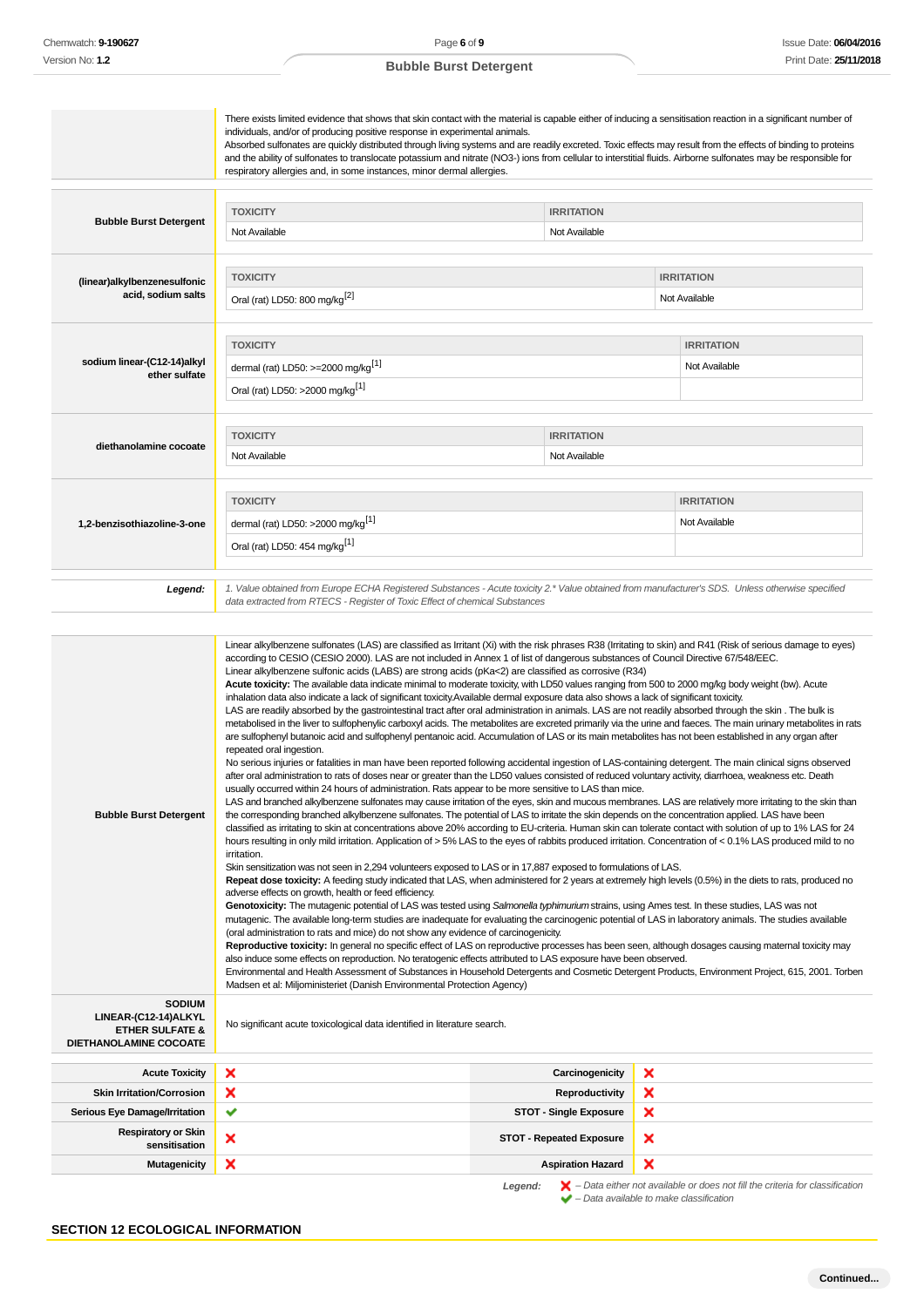| <b>Bubble Burst Detergent</b><br>(linear)alkylbenzenesulfonic<br>acid, sodium salts<br>sodium linear-(C12-14)alkyl<br>ether sulfate | There exists limited evidence that shows that skin contact with the material is capable either of inducing a sensitisation reaction in a significant number of<br>individuals, and/or of producing positive response in experimental animals.<br>Absorbed sulfonates are quickly distributed through living systems and are readily excreted. Toxic effects may result from the effects of binding to proteins<br>and the ability of sulfonates to translocate potassium and nitrate (NO3-) ions from cellular to interstitial fluids. Airborne sulfonates may be responsible for<br>respiratory allergies and, in some instances, minor dermal allergies.<br><b>TOXICITY</b><br>Not Available<br><b>TOXICITY</b><br>Oral (rat) LD50: 800 mg/kg <sup>[2]</sup><br><b>TOXICITY</b><br>dermal (rat) LD50: >=2000 mg/kg <sup>[1]</sup>                                                                                                                                                                                                                                                                                                                                                                                                                                                                                                                                                                                                                                                                                                                                                                                                                                                                                                                                                                                                                                                                                                                                                                                                                                                                                                                                                                                                                                                                                                                                                                                                                                                                                                                                                                                                                                                                                                                                                                                                                                                                                                                                                                                                                                                                                                                                                                                                                                                                                                                                                                                                                                                                                                                                                | <b>IRRITATION</b><br>Not Available | <b>IRRITATION</b><br>Not Available<br><b>IRRITATION</b><br>Not Available |
|-------------------------------------------------------------------------------------------------------------------------------------|------------------------------------------------------------------------------------------------------------------------------------------------------------------------------------------------------------------------------------------------------------------------------------------------------------------------------------------------------------------------------------------------------------------------------------------------------------------------------------------------------------------------------------------------------------------------------------------------------------------------------------------------------------------------------------------------------------------------------------------------------------------------------------------------------------------------------------------------------------------------------------------------------------------------------------------------------------------------------------------------------------------------------------------------------------------------------------------------------------------------------------------------------------------------------------------------------------------------------------------------------------------------------------------------------------------------------------------------------------------------------------------------------------------------------------------------------------------------------------------------------------------------------------------------------------------------------------------------------------------------------------------------------------------------------------------------------------------------------------------------------------------------------------------------------------------------------------------------------------------------------------------------------------------------------------------------------------------------------------------------------------------------------------------------------------------------------------------------------------------------------------------------------------------------------------------------------------------------------------------------------------------------------------------------------------------------------------------------------------------------------------------------------------------------------------------------------------------------------------------------------------------------------------------------------------------------------------------------------------------------------------------------------------------------------------------------------------------------------------------------------------------------------------------------------------------------------------------------------------------------------------------------------------------------------------------------------------------------------------------------------------------------------------------------------------------------------------------------------------------------------------------------------------------------------------------------------------------------------------------------------------------------------------------------------------------------------------------------------------------------------------------------------------------------------------------------------------------------------------------------------------------------------------------------------------------------------------|------------------------------------|--------------------------------------------------------------------------|
| diethanolamine cocoate                                                                                                              | Oral (rat) LD50: >2000 mg/kg <sup>[1]</sup><br><b>TOXICITY</b><br>Not Available                                                                                                                                                                                                                                                                                                                                                                                                                                                                                                                                                                                                                                                                                                                                                                                                                                                                                                                                                                                                                                                                                                                                                                                                                                                                                                                                                                                                                                                                                                                                                                                                                                                                                                                                                                                                                                                                                                                                                                                                                                                                                                                                                                                                                                                                                                                                                                                                                                                                                                                                                                                                                                                                                                                                                                                                                                                                                                                                                                                                                                                                                                                                                                                                                                                                                                                                                                                                                                                                                                    | <b>IRRITATION</b><br>Not Available |                                                                          |
| 1,2-benzisothiazoline-3-one                                                                                                         | <b>TOXICITY</b><br>dermal (rat) LD50: >2000 mg/kg <sup>[1]</sup><br>Oral (rat) LD50: 454 mg/kg <sup>[1]</sup>                                                                                                                                                                                                                                                                                                                                                                                                                                                                                                                                                                                                                                                                                                                                                                                                                                                                                                                                                                                                                                                                                                                                                                                                                                                                                                                                                                                                                                                                                                                                                                                                                                                                                                                                                                                                                                                                                                                                                                                                                                                                                                                                                                                                                                                                                                                                                                                                                                                                                                                                                                                                                                                                                                                                                                                                                                                                                                                                                                                                                                                                                                                                                                                                                                                                                                                                                                                                                                                                      |                                    | <b>IRRITATION</b><br>Not Available                                       |
| Legend:                                                                                                                             | 1. Value obtained from Europe ECHA Registered Substances - Acute toxicity 2.* Value obtained from manufacturer's SDS. Unless otherwise specified<br>data extracted from RTECS - Register of Toxic Effect of chemical Substances                                                                                                                                                                                                                                                                                                                                                                                                                                                                                                                                                                                                                                                                                                                                                                                                                                                                                                                                                                                                                                                                                                                                                                                                                                                                                                                                                                                                                                                                                                                                                                                                                                                                                                                                                                                                                                                                                                                                                                                                                                                                                                                                                                                                                                                                                                                                                                                                                                                                                                                                                                                                                                                                                                                                                                                                                                                                                                                                                                                                                                                                                                                                                                                                                                                                                                                                                    |                                    |                                                                          |
| <b>Bubble Burst Detergent</b>                                                                                                       | Linear alkylbenzene sulfonates (LAS) are classified as Irritant (Xi) with the risk phrases R38 (Irritating to skin) and R41 (Risk of serious damage to eyes)<br>according to CESIO (CESIO 2000). LAS are not included in Annex 1 of list of dangerous substances of Council Directive 67/548/EEC.<br>Linear alkylbenzene sulfonic acids (LABS) are strong acids (pKa<2) are classified as corrosive (R34)<br>Acute toxicity: The available data indicate minimal to moderate toxicity, with LD50 values ranging from 500 to 2000 mg/kg body weight (bw). Acute<br>inhalation data also indicate a lack of significant toxicity. Available dermal exposure data also shows a lack of significant toxicity.<br>LAS are readily absorbed by the gastrointestinal tract after oral administration in animals. LAS are not readily absorbed through the skin. The bulk is<br>metabolised in the liver to sulfophenylic carboxyl acids. The metabolites are excreted primarily via the urine and faeces. The main urinary metabolites in rats<br>are sulfophenyl butanoic acid and sulfophenyl pentanoic acid. Accumulation of LAS or its main metabolites has not been established in any organ after<br>repeated oral ingestion.<br>No serious injuries or fatalities in man have been reported following accidental ingestion of LAS-containing detergent. The main clinical signs observed<br>after oral administration to rats of doses near or greater than the LD50 values consisted of reduced voluntary activity, diarrhoea, weakness etc. Death<br>usually occurred within 24 hours of administration. Rats appear to be more sensitive to LAS than mice.<br>LAS and branched alkylbenzene sulfonates may cause irritation of the eyes, skin and mucous membranes. LAS are relatively more irritating to the skin than<br>the corresponding branched alkylbenzene sulfonates. The potential of LAS to irritate the skin depends on the concentration applied. LAS have been<br>classified as irritating to skin at concentrations above 20% according to EU-criteria. Human skin can tolerate contact with solution of up to 1% LAS for 24<br>hours resulting in only mild irritation. Application of > 5% LAS to the eyes of rabbits produced irritation. Concentration of < 0.1% LAS produced mild to no<br>irritation.<br>Skin sensitization was not seen in 2,294 volunteers exposed to LAS or in 17,887 exposed to formulations of LAS.<br>Repeat dose toxicity: A feeding study indicated that LAS, when administered for 2 years at extremely high levels (0.5%) in the diets to rats, produced no<br>adverse effects on growth, health or feed efficiency.<br>Genotoxicity: The mutagenic potential of LAS was tested using Salmonella typhimurium strains, using Ames test. In these studies, LAS was not<br>mutagenic. The available long-term studies are inadequate for evaluating the carcinogenic potential of LAS in laboratory animals. The studies available<br>(oral administration to rats and mice) do not show any evidence of carcinogenicity.<br>Reproductive toxicity: In general no specific effect of LAS on reproductive processes has been seen, although dosages causing maternal toxicity may<br>also induce some effects on reproduction. No teratogenic effects attributed to LAS exposure have been observed.<br>Environmental and Health Assessment of Substances in Household Detergents and Cosmetic Detergent Products, Environment Project, 615, 2001. Torben<br>Madsen et al: Miljoministeriet (Danish Environmental Protection Agency) |                                    |                                                                          |
| <b>SODIUM</b><br>LINEAR-(C12-14) ALKYL<br><b>ETHER SULFATE &amp;</b><br>DIETHANOLAMINE COCOATE                                      | No significant acute toxicological data identified in literature search.                                                                                                                                                                                                                                                                                                                                                                                                                                                                                                                                                                                                                                                                                                                                                                                                                                                                                                                                                                                                                                                                                                                                                                                                                                                                                                                                                                                                                                                                                                                                                                                                                                                                                                                                                                                                                                                                                                                                                                                                                                                                                                                                                                                                                                                                                                                                                                                                                                                                                                                                                                                                                                                                                                                                                                                                                                                                                                                                                                                                                                                                                                                                                                                                                                                                                                                                                                                                                                                                                                           |                                    |                                                                          |
| <b>Acute Toxicity</b>                                                                                                               | ×                                                                                                                                                                                                                                                                                                                                                                                                                                                                                                                                                                                                                                                                                                                                                                                                                                                                                                                                                                                                                                                                                                                                                                                                                                                                                                                                                                                                                                                                                                                                                                                                                                                                                                                                                                                                                                                                                                                                                                                                                                                                                                                                                                                                                                                                                                                                                                                                                                                                                                                                                                                                                                                                                                                                                                                                                                                                                                                                                                                                                                                                                                                                                                                                                                                                                                                                                                                                                                                                                                                                                                                  | Carcinogenicity                    | ×                                                                        |
| <b>Skin Irritation/Corrosion</b>                                                                                                    | ×                                                                                                                                                                                                                                                                                                                                                                                                                                                                                                                                                                                                                                                                                                                                                                                                                                                                                                                                                                                                                                                                                                                                                                                                                                                                                                                                                                                                                                                                                                                                                                                                                                                                                                                                                                                                                                                                                                                                                                                                                                                                                                                                                                                                                                                                                                                                                                                                                                                                                                                                                                                                                                                                                                                                                                                                                                                                                                                                                                                                                                                                                                                                                                                                                                                                                                                                                                                                                                                                                                                                                                                  | <b>Reproductivity</b>              | ×                                                                        |
| Serious Eye Damage/Irritation                                                                                                       | ✔                                                                                                                                                                                                                                                                                                                                                                                                                                                                                                                                                                                                                                                                                                                                                                                                                                                                                                                                                                                                                                                                                                                                                                                                                                                                                                                                                                                                                                                                                                                                                                                                                                                                                                                                                                                                                                                                                                                                                                                                                                                                                                                                                                                                                                                                                                                                                                                                                                                                                                                                                                                                                                                                                                                                                                                                                                                                                                                                                                                                                                                                                                                                                                                                                                                                                                                                                                                                                                                                                                                                                                                  | <b>STOT - Single Exposure</b>      | ×                                                                        |
| <b>Respiratory or Skin</b><br>sensitisation                                                                                         | x                                                                                                                                                                                                                                                                                                                                                                                                                                                                                                                                                                                                                                                                                                                                                                                                                                                                                                                                                                                                                                                                                                                                                                                                                                                                                                                                                                                                                                                                                                                                                                                                                                                                                                                                                                                                                                                                                                                                                                                                                                                                                                                                                                                                                                                                                                                                                                                                                                                                                                                                                                                                                                                                                                                                                                                                                                                                                                                                                                                                                                                                                                                                                                                                                                                                                                                                                                                                                                                                                                                                                                                  | <b>STOT - Repeated Exposure</b>    | ×                                                                        |
| <b>Mutagenicity</b>                                                                                                                 | ×                                                                                                                                                                                                                                                                                                                                                                                                                                                                                                                                                                                                                                                                                                                                                                                                                                                                                                                                                                                                                                                                                                                                                                                                                                                                                                                                                                                                                                                                                                                                                                                                                                                                                                                                                                                                                                                                                                                                                                                                                                                                                                                                                                                                                                                                                                                                                                                                                                                                                                                                                                                                                                                                                                                                                                                                                                                                                                                                                                                                                                                                                                                                                                                                                                                                                                                                                                                                                                                                                                                                                                                  | <b>Aspiration Hazard</b>           | ×                                                                        |

**Legend:**  $\mathbb{X}$  – Data either not available or does not fill the criteria for classification<br>  $\bullet$  – Data available to make classification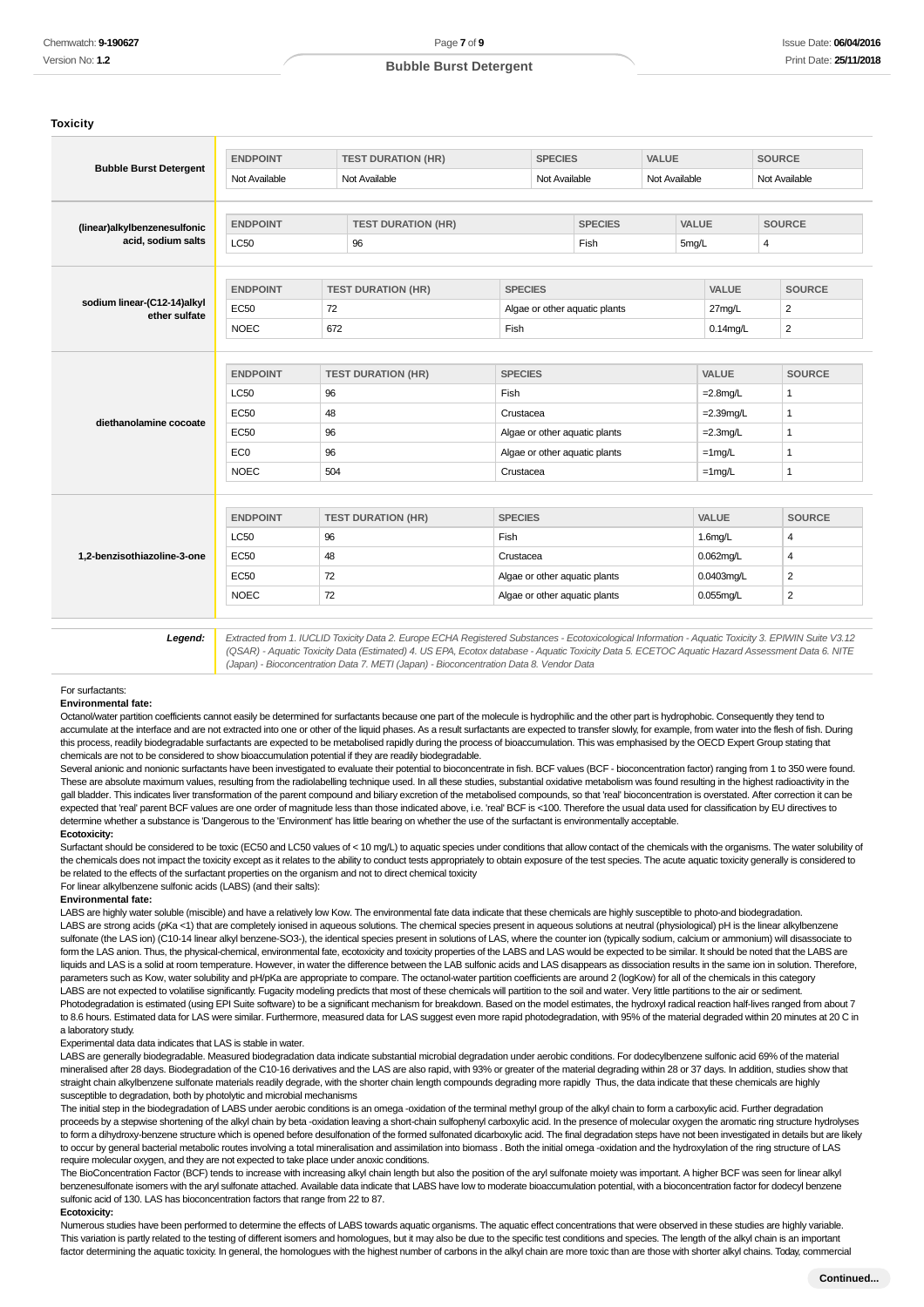#### **Toxicity**

|                                                    | <b>ENDPOINT</b>                | <b>TEST DURATION (HR)</b>                                                                                                                           |                                             |                | <b>SPECIES</b>                |                               | VALUE |               |                | <b>SOURCE</b>  |                |  |
|----------------------------------------------------|--------------------------------|-----------------------------------------------------------------------------------------------------------------------------------------------------|---------------------------------------------|----------------|-------------------------------|-------------------------------|-------|---------------|----------------|----------------|----------------|--|
| <b>Bubble Burst Detergent</b>                      | Not Available                  |                                                                                                                                                     | Not Available                               |                | Not Available                 |                               |       | Not Available |                | Not Available  |                |  |
|                                                    |                                |                                                                                                                                                     |                                             |                |                               | <b>SPECIES</b>                |       | VALUE         |                |                |                |  |
| (linear)alkylbenzenesulfonic<br>acid, sodium salts | <b>ENDPOINT</b><br><b>LC50</b> |                                                                                                                                                     | <b>TEST DURATION (HR)</b><br>96             |                |                               | Fish                          |       | 5mg/L         | $\overline{4}$ |                | <b>SOURCE</b>  |  |
|                                                    |                                |                                                                                                                                                     |                                             |                |                               |                               |       |               |                |                |                |  |
| sodium linear-(C12-14)alkyl                        | <b>ENDPOINT</b>                |                                                                                                                                                     | <b>TEST DURATION (HR)</b><br><b>SPECIES</b> |                |                               |                               |       |               | VALUE          |                | <b>SOURCE</b>  |  |
| ether sulfate                                      | <b>EC50</b>                    | 72                                                                                                                                                  |                                             |                |                               | Algae or other aquatic plants |       |               | 27mg/L         |                | $\overline{2}$ |  |
|                                                    | <b>NOEC</b>                    | 672                                                                                                                                                 |                                             | Fish           |                               |                               |       |               | $0.14$ mg/L    |                | $\overline{2}$ |  |
|                                                    |                                |                                                                                                                                                     |                                             |                |                               |                               |       |               |                |                |                |  |
|                                                    | <b>ENDPOINT</b>                |                                                                                                                                                     | <b>TEST DURATION (HR)</b>                   |                | <b>SPECIES</b>                |                               |       |               | VALUE          |                | <b>SOURCE</b>  |  |
|                                                    | <b>LC50</b>                    | 96                                                                                                                                                  |                                             | Fish           |                               |                               |       |               | $=2.8$ mg/L    |                | $\mathbf{1}$   |  |
| diethanolamine cocoate                             | <b>EC50</b>                    | 48                                                                                                                                                  |                                             | Crustacea      |                               |                               |       |               | $=2.39$ mg/L   |                | $\mathbf{1}$   |  |
|                                                    | <b>EC50</b>                    | 96                                                                                                                                                  |                                             |                | Algae or other aquatic plants |                               |       |               | $=2.3$ mg/L    |                | $\mathbf{1}$   |  |
|                                                    | EC <sub>0</sub>                | 96                                                                                                                                                  |                                             |                | Algae or other aquatic plants |                               |       |               | $=1$ mg/L      |                | $\mathbf{1}$   |  |
|                                                    | <b>NOEC</b>                    | 504                                                                                                                                                 |                                             |                | Crustacea                     |                               |       |               | $=1$ mg/L      |                | $\mathbf{1}$   |  |
|                                                    |                                |                                                                                                                                                     |                                             |                |                               |                               |       |               |                |                |                |  |
|                                                    | <b>ENDPOINT</b>                |                                                                                                                                                     | <b>TEST DURATION (HR)</b>                   | <b>SPECIES</b> |                               |                               |       |               | <b>VALUE</b>   |                | <b>SOURCE</b>  |  |
|                                                    | <b>LC50</b>                    | 96                                                                                                                                                  |                                             | Fish           |                               |                               |       |               | $1.6$ mg/L     |                | 4              |  |
| 1,2-benzisothiazoline-3-one                        | <b>EC50</b>                    | 48                                                                                                                                                  |                                             |                | Crustacea                     |                               |       |               | $0.062$ mg/L   |                | $\overline{4}$ |  |
|                                                    | <b>EC50</b>                    | 72                                                                                                                                                  |                                             |                | Algae or other aquatic plants |                               |       | 0.0403mg/L    |                | $\overline{2}$ |                |  |
|                                                    | <b>NOEC</b>                    | 72                                                                                                                                                  |                                             |                | Algae or other aquatic plants |                               |       |               | 0.055mg/L      |                | $\overline{2}$ |  |
|                                                    |                                | Extracted from 1. IUCLID Toxicity Data 2. Europe ECHA Registered Substances - Ecotoxicological Information - Aquatic Toxicity 3. EPIWIN Suite V3.12 |                                             |                |                               |                               |       |               |                |                |                |  |

(QSAR) - Aquatic Toxicity Data (Estimated) 4. US EPA, Ecotox database - Aquatic Toxicity Data 5. ECETOC Aquatic Hazard Assessment Data 6. NITE (Japan) - Bioconcentration Data 7. METI (Japan) - Bioconcentration Data 8. Vendor Data

### For surfactants:

#### **Environmental fate:**

Octanol/water partition coefficients cannot easily be determined for surfactants because one part of the molecule is hydrophilic and the other part is hydrophobic. Consequently they tend to accumulate at the interface and are not extracted into one or other of the liquid phases. As a result surfactants are expected to transfer slowly, for example, from water into the flesh of fish. During this process, readily biodegradable surfactants are expected to be metabolised rapidly during the process of bioaccumulation. This was emphasised by the OECD Expert Group stating that chemicals are not to be considered to show bioaccumulation potential if they are readily biodegradable.

Several anionic and nonionic surfactants have been investigated to evaluate their potential to bioconcentrate in fish. BCF values (BCF - bioconcentration factor) ranging from 1 to 350 were found. These are absolute maximum values, resulting from the radiolabelling technique used. In all these studies, substantial oxidative metabolism was found resulting in the highest radioactivity in the gall bladder. This indicates liver transformation of the parent compound and biliary excretion of the metabolised compounds, so that 'real' bioconcentration is overstated. After correction it can be expected that 'real' parent BCF values are one order of magnitude less than those indicated above, i.e. 'real' BCF is <100. Therefore the usual data used for classification by EU directives to determine whether a substance is 'Dangerous to the 'Environment' has little bearing on whether the use of the surfactant is environmentally acceptable

#### **Ecotoxicity:**

Surfactant should be considered to be toxic (EC50 and LC50 values of < 10 mq/L) to aquatic species under conditions that allow contact of the chemicals with the organisms. The water solubility of the chemicals does not impact the toxicity except as it relates to the ability to conduct tests appropriately to obtain exposure of the test species. The acute aquatic toxicity generally is considered to be related to the effects of the surfactant properties on the organism and not to direct chemical toxicity For linear alkylbenzene sulfonic acids (LABS) (and their salts):

#### **Environmental fate:**

LABS are highly water soluble (miscible) and have a relatively low Kow. The environmental fate data indicate that these chemicals are highly susceptible to photo-and biodegradation. LABS are strong acids (pKa <1) that are completely ionised in aqueous solutions. The chemical species present in aqueous solutions at neutral (physiological) pH is the linear alkylbenzene sulfonate (the LAS ion) (C10-14 linear alkyl benzene-SO3-), the identical species present in solutions of LAS, where the counter ion (typically sodium, calcium or ammonium) will disassociate to form the LAS anion. Thus, the physical-chemical, environmental fate, ecotoxicity and toxicity properties of the LABS and LAS would be expected to be similar. It should be noted that the LABS are liquids and LAS is a solid at room temperature. However, in water the difference between the LAB sulfonic acids and LAS disappears as dissociation results in the same ion in solution. Therefore, parameters such as Kow, water solubility and pH/pKa are appropriate to compare. The octanol-water partition coefficients are around 2 (logKow) for all of the chemicals in this category LABS are not expected to volatilise significantly. Fugacity modeling predicts that most of these chemicals will partition to the soil and water. Very little partitions to the air or sediment. Photodegradation is estimated (using EPI Suite software) to be a significant mechanism for breakdown. Based on the model estimates, the hydroxyl radical reaction half-lives ranged from about 7 to 8.6 hours. Estimated data for LAS were similar. Furthermore, measured data for LAS suggest even more rapid photodegradation, with 95% of the material degraded within 20 minutes at 20 C in a laboratory study.

#### Experimental data data indicates that LAS is stable in water.

LABS are generally biodegradable. Measured biodegradation data indicate substantial microbial degradation under aerobic conditions. For dodecylbenzene sulfonic acid 69% of the material mineralised after 28 days. Biodegradation of the C10-16 derivatives and the LAS are also rapid, with 93% or greater of the material degrading within 28 or 37 days. In addition, studies show that straight chain alkylbenzene sulfonate materials readily degrade, with the shorter chain length compounds degrading more rapidly Thus, the data indicate that these chemicals are highly susceptible to degradation, both by photolytic and microbial mechanisms

The initial step in the biodegradation of LABS under aerobic conditions is an omega -oxidation of the terminal methyl group of the alkyl chain to form a carboxylic acid. Further degradation proceeds by a stepwise shortening of the alkyl chain by beta -oxidation leaving a short-chain sulfophenyl carboxylic acid. In the presence of molecular oxygen the aromatic ring structure hydrolyses to form a dihydroxy-benzene structure which is opened before desulfonation of the formed sulfonated dicarboxylic acid. The final degradation steps have not been investigated in details but are likely to occur by general bacterial metabolic routes involving a total mineralisation and assimilation into biomass . Both the initial omega -oxidation and the hydroxylation of the ring structure of LAS require molecular oxygen, and they are not expected to take place under anoxic conditions.

The BioConcentration Factor (BCF) tends to increase with increasing alkyl chain length but also the position of the aryl sulfonate moiety was important. A higher BCF was seen for linear alkyl benzenesulfonate isomers with the aryl sulfonate attached. Available data indicate that LABS have low to moderate bioaccumulation potential, with a bioconcentration factor for dodecyl benzene sulfonic acid of 130. LAS has bioconcentration factors that range from 22 to 87.

#### **Ecotoxicity:**

Numerous studies have been performed to determine the effects of LABS towards aquatic organisms. The aquatic effect concentrations that were observed in these studies are highly variable. This variation is partly related to the testing of different isomers and homologues, but it may also be due to the specific test conditions and species. The length of the alkyl chain is an important factor determining the aquatic toxicity. In general, the homologues with the highest number of carbons in the alkyl chain are more toxic than are those with shorter alkyl chains. Today, commercial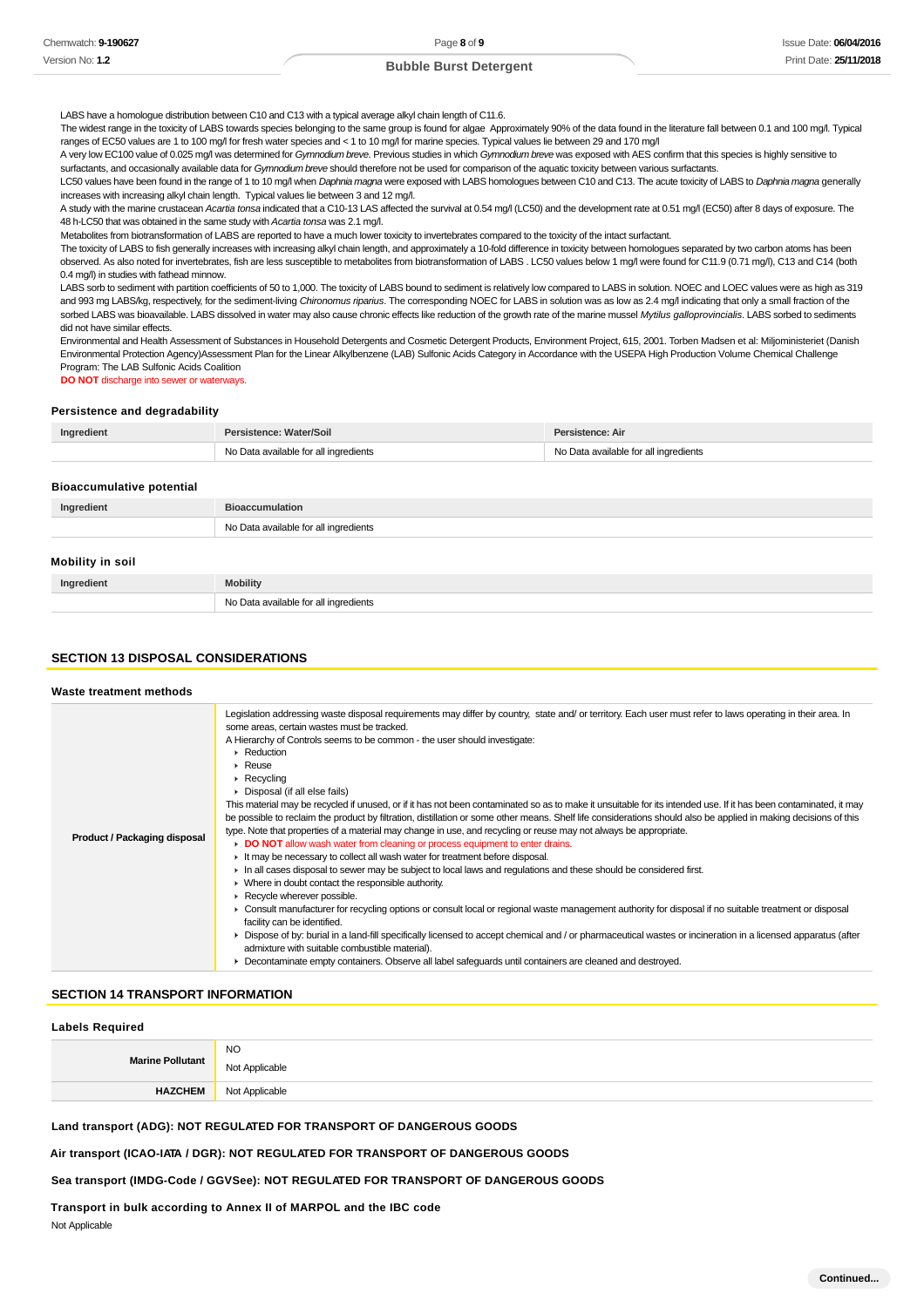LABS have a homologue distribution between C10 and C13 with a typical average alkyl chain length of C11.6.

The widest range in the toxicity of LABS towards species belonging to the same group is found for algae Approximately 90% of the data found in the literature fall between 0.1 and 100 mg/l. Typical ranges of EC50 values are 1 to 100 mg/l for fresh water species and < 1 to 10 mg/l for marine species. Typical values lie between 29 and 170 mg/l

A very low EC100 value of 0.025 mg/l was determined for Gymnodium breve. Previous studies in which Gymnodium breve was exposed with AES confirm that this species is highly sensitive to surfactants, and occasionally available data for Gymnodium breve should therefore not be used for comparison of the aquatic toxicity between various surfactants

LC50 values have been found in the range of 1 to 10 mg/l when Daphnia magna were exposed with LABS homologues between C10 and C13. The acute toxicity of LABS to Daphnia magna generally

increases with increasing alkyl chain length. Typical values lie between 3 and 12 mg/l. A study with the marine crustacean Acartia tonsa indicated that a C10-13 LAS affected the survival at 0.54 mg/l (LC50) and the development rate at 0.51 mg/l (EC50) after 8 days of exposure. The

48 h-LC50 that was obtained in the same study with Acartia tonsa was 2.1 mg/l.

No Data available for all ingredients

Metabolites from biotransformation of LABS are reported to have a much lower toxicity to invertebrates compared to the toxicity of the intact surfactant.

The toxicity of LABS to fish generally increases with increasing alkyl chain length, and approximately a 10-fold difference in toxicity between homologues separated by two carbon atoms has been observed. As also noted for invertebrates, fish are less susceptible to metabolites from biotransformation of LABS . LC50 values below 1 mg/l were found for C11.9 (0.71 mg/l), C13 and C14 (both 0.4 mg/l) in studies with fathead minnow.

LABS sorb to sediment with partition coefficients of 50 to 1,000. The toxicity of LABS bound to sediment is relatively low compared to LABS in solution. NOEC and LOEC values were as high as 319 and 993 mg LABS/kg, respectively, for the sediment-living Chironomus riparius. The corresponding NOEC for LABS in solution was as low as 2.4 mg/l indicating that only a small fraction of the sorbed LABS was bioavailable. LABS dissolved in water may also cause chronic effects like reduction of the growth rate of the marine mussel Mytilus galloprovincialis. LABS sorbed to sediments did not have similar effects.

Environmental and Health Assessment of Substances in Household Detergents and Cosmetic Detergent Products, Environment Project, 615, 2001. Torben Madsen et al: Miljoministeriet (Danish Environmental Protection Agency)Assessment Plan for the Linear Alkylbenzene (LAB) Sulfonic Acids Category in Accordance with the USEPA High Production Volume Chemical Challenge Program: The LAB Sulfonic Acids Coalition

**DO NOT** discharge into sewer or waterways.

#### **Persistence and degradability**

| Ingredient | Persistence: Water/Soil               | Persistence: Air                      |
|------------|---------------------------------------|---------------------------------------|
|            | No Data available for all ingredients | No Data available for all ingredients |

#### **Bioaccumulative potential**

| Ingredient       | <b>Bioaccumulation</b>                |
|------------------|---------------------------------------|
|                  | No Data available for all ingredients |
| Mobility in soil |                                       |
| Ingredient       | <b>Mobility</b>                       |

### **SECTION 13 DISPOSAL CONSIDERATIONS**

#### **Waste treatment methods**

| Product / Packaging disposal | Legislation addressing waste disposal requirements may differ by country, state and/ or territory. Each user must refer to laws operating in their area. In<br>some areas, certain wastes must be tracked.<br>A Hierarchy of Controls seems to be common - the user should investigate:<br>▶ Reduction<br>$\triangleright$ Reuse<br>$\triangleright$ Recycling<br>• Disposal (if all else fails)<br>This material may be recycled if unused, or if it has not been contaminated so as to make it unsuitable for its intended use. If it has been contaminated, it may<br>be possible to reclaim the product by filtration, distillation or some other means. Shelf life considerations should also be applied in making decisions of this<br>type. Note that properties of a material may change in use, and recycling or reuse may not always be appropriate.<br>• DO NOT allow wash water from cleaning or process equipment to enter drains.<br>It may be necessary to collect all wash water for treatment before disposal.<br>In all cases disposal to sewer may be subject to local laws and regulations and these should be considered first.<br>• Where in doubt contact the responsible authority.<br>Recycle wherever possible.<br>• Consult manufacturer for recycling options or consult local or regional waste management authority for disposal if no suitable treatment or disposal<br>facility can be identified.<br>▶ Dispose of by: burial in a land-fill specifically licensed to accept chemical and / or pharmaceutical wastes or incineration in a licensed apparatus (after<br>admixture with suitable combustible material).<br>• Decontaminate empty containers. Observe all label safeguards until containers are cleaned and destroyed. |
|------------------------------|---------------------------------------------------------------------------------------------------------------------------------------------------------------------------------------------------------------------------------------------------------------------------------------------------------------------------------------------------------------------------------------------------------------------------------------------------------------------------------------------------------------------------------------------------------------------------------------------------------------------------------------------------------------------------------------------------------------------------------------------------------------------------------------------------------------------------------------------------------------------------------------------------------------------------------------------------------------------------------------------------------------------------------------------------------------------------------------------------------------------------------------------------------------------------------------------------------------------------------------------------------------------------------------------------------------------------------------------------------------------------------------------------------------------------------------------------------------------------------------------------------------------------------------------------------------------------------------------------------------------------------------------------------------------------------------------------------------------------------------------------------------------|

### **SECTION 14 TRANSPORT INFORMATION**

#### **Labels Required**

| <b>Marine Pollutant</b> | <b>NO</b><br>Not Applicable |
|-------------------------|-----------------------------|
| <b>HAZCHEM</b>          | Not Applicable              |

**Land transport (ADG): NOT REGULATED FOR TRANSPORT OF DANGEROUS GOODS**

**Air transport (ICAO-IATA / DGR): NOT REGULATED FOR TRANSPORT OF DANGEROUS GOODS**

**Sea transport (IMDG-Code / GGVSee): NOT REGULATED FOR TRANSPORT OF DANGEROUS GOODS**

**Transport in bulk according to Annex II of MARPOL and the IBC code Not Applicable**